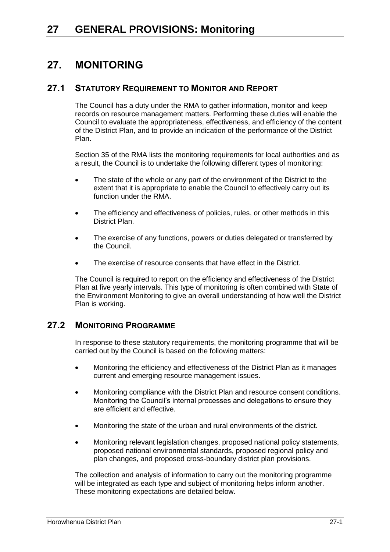# **27. MONITORING**

## **27.1 STATUTORY REQUIREMENT TO MONITOR AND REPORT**

The Council has a duty under the RMA to gather information, monitor and keep records on resource management matters. Performing these duties will enable the Council to evaluate the appropriateness, effectiveness, and efficiency of the content of the District Plan, and to provide an indication of the performance of the District Plan.

Section 35 of the RMA lists the monitoring requirements for local authorities and as a result, the Council is to undertake the following different types of monitoring:

- The state of the whole or any part of the environment of the District to the extent that it is appropriate to enable the Council to effectively carry out its function under the RMA.
- The efficiency and effectiveness of policies, rules, or other methods in this District Plan.
- The exercise of any functions, powers or duties delegated or transferred by the Council.
- The exercise of resource consents that have effect in the District.

The Council is required to report on the efficiency and effectiveness of the District Plan at five yearly intervals. This type of monitoring is often combined with State of the Environment Monitoring to give an overall understanding of how well the District Plan is working.

## **27.2 MONITORING PROGRAMME**

In response to these statutory requirements, the monitoring programme that will be carried out by the Council is based on the following matters:

- Monitoring the efficiency and effectiveness of the District Plan as it manages current and emerging resource management issues.
- Monitoring compliance with the District Plan and resource consent conditions. Monitoring the Council's internal processes and delegations to ensure they are efficient and effective.
- Monitoring the state of the urban and rural environments of the district.
- Monitoring relevant legislation changes, proposed national policy statements, proposed national environmental standards, proposed regional policy and plan changes, and proposed cross-boundary district plan provisions.

The collection and analysis of information to carry out the monitoring programme will be integrated as each type and subject of monitoring helps inform another. These monitoring expectations are detailed below.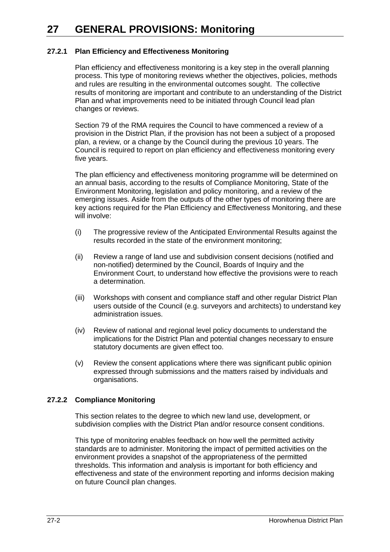# **27 GENERAL PROVISIONS: Monitoring**

### **27.2.1 Plan Efficiency and Effectiveness Monitoring**

Plan efficiency and effectiveness monitoring is a key step in the overall planning process. This type of monitoring reviews whether the objectives, policies, methods and rules are resulting in the environmental outcomes sought. The collective results of monitoring are important and contribute to an understanding of the District Plan and what improvements need to be initiated through Council lead plan changes or reviews.

Section 79 of the RMA requires the Council to have commenced a review of a provision in the District Plan, if the provision has not been a subject of a proposed plan, a review, or a change by the Council during the previous 10 years. The Council is required to report on plan efficiency and effectiveness monitoring every five years.

The plan efficiency and effectiveness monitoring programme will be determined on an annual basis, according to the results of Compliance Monitoring, State of the Environment Monitoring, legislation and policy monitoring, and a review of the emerging issues. Aside from the outputs of the other types of monitoring there are key actions required for the Plan Efficiency and Effectiveness Monitoring, and these will involve:

- (i) The progressive review of the Anticipated Environmental Results against the results recorded in the state of the environment monitoring;
- (ii) Review a range of land use and subdivision consent decisions (notified and non-notified) determined by the Council, Boards of Inquiry and the Environment Court, to understand how effective the provisions were to reach a determination.
- (iii) Workshops with consent and compliance staff and other regular District Plan users outside of the Council (e.g. surveyors and architects) to understand key administration issues.
- (iv) Review of national and regional level policy documents to understand the implications for the District Plan and potential changes necessary to ensure statutory documents are given effect too.
- (v) Review the consent applications where there was significant public opinion expressed through submissions and the matters raised by individuals and organisations.

#### **27.2.2 Compliance Monitoring**

This section relates to the degree to which new land use, development, or subdivision complies with the District Plan and/or resource consent conditions.

This type of monitoring enables feedback on how well the permitted activity standards are to administer. Monitoring the impact of permitted activities on the environment provides a snapshot of the appropriateness of the permitted thresholds. This information and analysis is important for both efficiency and effectiveness and state of the environment reporting and informs decision making on future Council plan changes.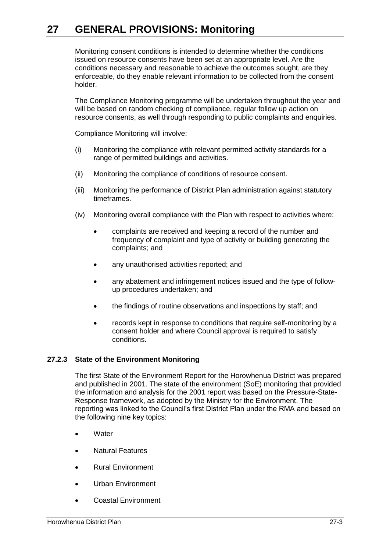# **27 GENERAL PROVISIONS: Monitoring**

Monitoring consent conditions is intended to determine whether the conditions issued on resource consents have been set at an appropriate level. Are the conditions necessary and reasonable to achieve the outcomes sought, are they enforceable, do they enable relevant information to be collected from the consent holder.

The Compliance Monitoring programme will be undertaken throughout the year and will be based on random checking of compliance, regular follow up action on resource consents, as well through responding to public complaints and enquiries.

Compliance Monitoring will involve:

- (i) Monitoring the compliance with relevant permitted activity standards for a range of permitted buildings and activities.
- (ii) Monitoring the compliance of conditions of resource consent.
- (iii) Monitoring the performance of District Plan administration against statutory timeframes.
- (iv) Monitoring overall compliance with the Plan with respect to activities where:
	- complaints are received and keeping a record of the number and frequency of complaint and type of activity or building generating the complaints; and
	- any unauthorised activities reported; and
	- any abatement and infringement notices issued and the type of followup procedures undertaken; and
	- the findings of routine observations and inspections by staff; and
	- records kept in response to conditions that require self-monitoring by a consent holder and where Council approval is required to satisfy conditions.

#### **27.2.3 State of the Environment Monitoring**

The first State of the Environment Report for the Horowhenua District was prepared and published in 2001. The state of the environment (SoE) monitoring that provided the information and analysis for the 2001 report was based on the Pressure-State-Response framework, as adopted by the Ministry for the Environment. The reporting was linked to the Council's first District Plan under the RMA and based on the following nine key topics:

- **Water**
- Natural Features
- Rural Environment
- Urban Environment
- Coastal Environment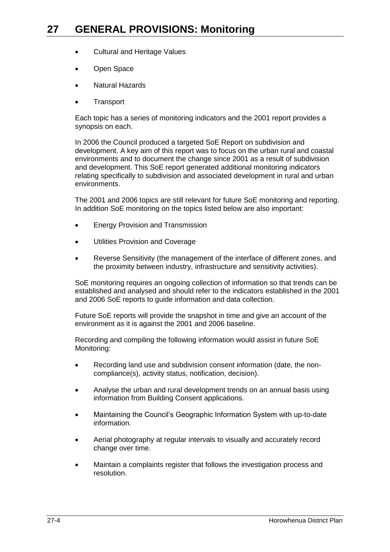- Cultural and Heritage Values
- Open Space
- Natural Hazards
- **Transport**

Each topic has a series of monitoring indicators and the 2001 report provides a synopsis on each.

In 2006 the Council produced a targeted SoE Report on subdivision and development. A key aim of this report was to focus on the urban rural and coastal environments and to document the change since 2001 as a result of subdivision and development. This SoE report generated additional monitoring indicators relating specifically to subdivision and associated development in rural and urban environments.

The 2001 and 2006 topics are still relevant for future SoE monitoring and reporting. In addition SoE monitoring on the topics listed below are also important:

- **Energy Provision and Transmission**
- Utilities Provision and Coverage
- Reverse Sensitivity (the management of the interface of different zones, and the proximity between industry, infrastructure and sensitivity activities).

SoE monitoring requires an ongoing collection of information so that trends can be established and analysed and should refer to the indicators established in the 2001 and 2006 SoE reports to guide information and data collection.

Future SoE reports will provide the snapshot in time and give an account of the environment as it is against the 2001 and 2006 baseline.

Recording and compiling the following information would assist in future SoE Monitoring:

- Recording land use and subdivision consent information (date, the noncompliance(s), activity status, notification, decision).
- Analyse the urban and rural development trends on an annual basis using information from Building Consent applications.
- Maintaining the Council's Geographic Information System with up-to-date information.
- Aerial photography at regular intervals to visually and accurately record change over time.
- Maintain a complaints register that follows the investigation process and resolution.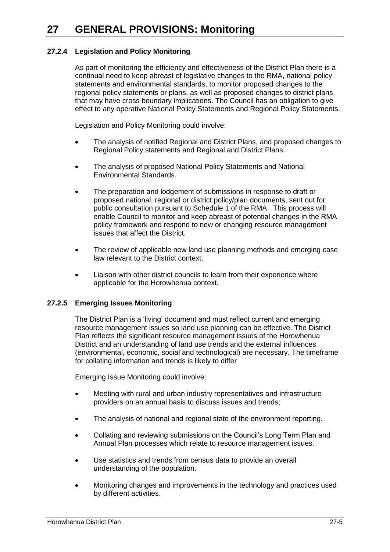### **27.2.4 Legislation and Policy Monitoring**

As part of monitoring the efficiency and effectiveness of the District Plan there is a continual need to keep abreast of legislative changes to the RMA, national policy statements and environmental standards, to monitor proposed changes to the regional policy statements or plans, as well as proposed changes to district plans that may have cross boundary implications. The Council has an obligation to give effect to any operative National Policy Statements and Regional Policy Statements.

Legislation and Policy Monitoring could involve:

- The analysis of notified Regional and District Plans, and proposed changes to Regional Policy statements and Regional and District Plans.
- The analysis of proposed National Policy Statements and National Environmental Standards.
- The preparation and lodgement of submissions in response to draft or proposed national, regional or district policy/plan documents, sent out for public consultation pursuant to Schedule 1 of the RMA. This process will enable Council to monitor and keep abreast of potential changes in the RMA policy framework and respond to new or changing resource management issues that affect the District.
- The review of applicable new land use planning methods and emerging case law relevant to the District context.
- Liaison with other district councils to learn from their experience where applicable for the Horowhenua context.

#### **27.2.5 Emerging Issues Monitoring**

The District Plan is a 'living' document and must reflect current and emerging resource management issues so land use planning can be effective. The District Plan reflects the significant resource management issues of the Horowhenua District and an understanding of land use trends and the external influences (environmental, economic, social and technological) are necessary. The timeframe for collating information and trends is likely to differ

Emerging Issue Monitoring could involve:

- Meeting with rural and urban industry representatives and infrastructure providers on an annual basis to discuss issues and trends;
- The analysis of national and regional state of the environment reporting.
- Collating and reviewing submissions on the Council's Long Term Plan and Annual Plan processes which relate to resource management issues.
- Use statistics and trends from census data to provide an overall understanding of the population.
- Monitoring changes and improvements in the technology and practices used by different activities.